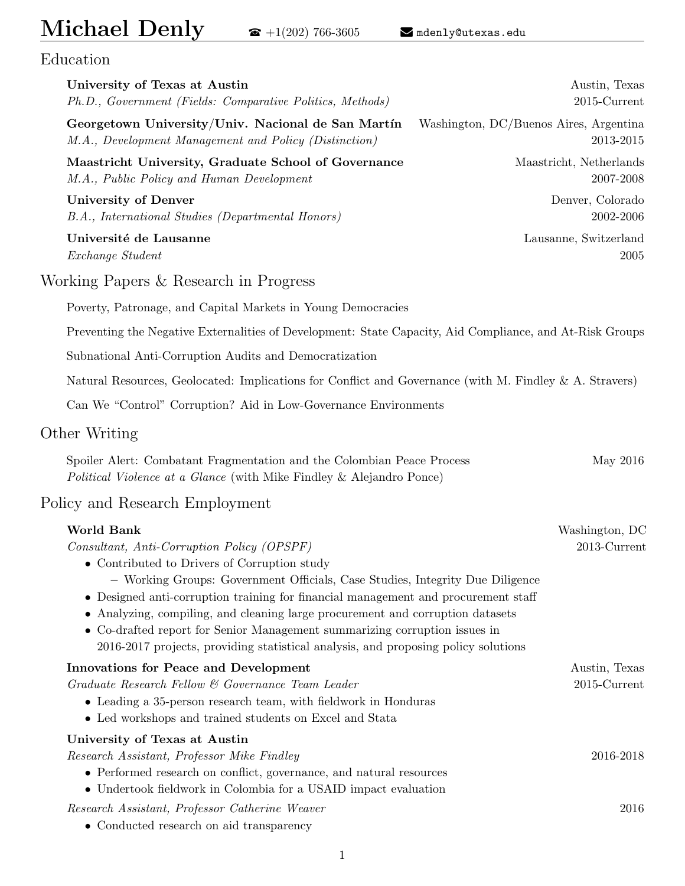# $Michael Denly \qquad \bullet +1(202)$  766-3605 R <mdenly@utexas.edu>

Education

| University of Texas at Austin<br>Ph.D., Government (Fields: Comparative Politics, Methods)                                                                                                                                                                                                                                                                                                                                                                                                                                                            | Austin, Texas<br>$2015$ -Current                    |
|-------------------------------------------------------------------------------------------------------------------------------------------------------------------------------------------------------------------------------------------------------------------------------------------------------------------------------------------------------------------------------------------------------------------------------------------------------------------------------------------------------------------------------------------------------|-----------------------------------------------------|
| Georgetown University/Univ. Nacional de San Martín<br>M.A., Development Management and Policy (Distinction)                                                                                                                                                                                                                                                                                                                                                                                                                                           | Washington, DC/Buenos Aires, Argentina<br>2013-2015 |
| Maastricht University, Graduate School of Governance<br>M.A., Public Policy and Human Development                                                                                                                                                                                                                                                                                                                                                                                                                                                     | Maastricht, Netherlands<br>2007-2008                |
| <b>University of Denver</b><br>B.A., International Studies (Departmental Honors)                                                                                                                                                                                                                                                                                                                                                                                                                                                                      | Denver, Colorado<br>2002-2006                       |
| Université de Lausanne<br>Exchange Student                                                                                                                                                                                                                                                                                                                                                                                                                                                                                                            | Lausanne, Switzerland<br>2005                       |
| Working Papers & Research in Progress                                                                                                                                                                                                                                                                                                                                                                                                                                                                                                                 |                                                     |
| Poverty, Patronage, and Capital Markets in Young Democracies                                                                                                                                                                                                                                                                                                                                                                                                                                                                                          |                                                     |
| Preventing the Negative Externalities of Development: State Capacity, Aid Compliance, and At-Risk Groups                                                                                                                                                                                                                                                                                                                                                                                                                                              |                                                     |
| Subnational Anti-Corruption Audits and Democratization                                                                                                                                                                                                                                                                                                                                                                                                                                                                                                |                                                     |
| Natural Resources, Geolocated: Implications for Conflict and Governance (with M. Findley & A. Stravers)                                                                                                                                                                                                                                                                                                                                                                                                                                               |                                                     |
| Can We "Control" Corruption? Aid in Low-Governance Environments                                                                                                                                                                                                                                                                                                                                                                                                                                                                                       |                                                     |
| Other Writing                                                                                                                                                                                                                                                                                                                                                                                                                                                                                                                                         |                                                     |
| Spoiler Alert: Combatant Fragmentation and the Colombian Peace Process<br>Political Violence at a Glance (with Mike Findley & Alejandro Ponce)                                                                                                                                                                                                                                                                                                                                                                                                        | May 2016                                            |
| Policy and Research Employment                                                                                                                                                                                                                                                                                                                                                                                                                                                                                                                        |                                                     |
| <b>World Bank</b><br>Consultant, Anti-Corruption Policy (OPSPF)<br>• Contributed to Drivers of Corruption study<br>- Working Groups: Government Officials, Case Studies, Integrity Due Diligence<br>• Designed anti-corruption training for financial management and procurement staff<br>Analyzing, compiling, and cleaning large procurement and corruption datasets<br>$\bullet$<br>Co-drafted report for Senior Management summarizing corruption issues in<br>2016-2017 projects, providing statistical analysis, and proposing policy solutions | Washington, DC<br>2013-Current                      |
| <b>Innovations for Peace and Development</b><br>Graduate Research Fellow & Governance Team Leader<br>• Leading a 35-person research team, with fieldwork in Honduras<br>• Led workshops and trained students on Excel and Stata                                                                                                                                                                                                                                                                                                                       | Austin, Texas<br>$2015$ -Current                    |
| University of Texas at Austin<br>Research Assistant, Professor Mike Findley<br>• Performed research on conflict, governance, and natural resources<br>• Undertook fieldwork in Colombia for a USAID impact evaluation                                                                                                                                                                                                                                                                                                                                 | 2016-2018                                           |
| Research Assistant, Professor Catherine Weaver<br>• Conducted research on aid transparency                                                                                                                                                                                                                                                                                                                                                                                                                                                            | 2016                                                |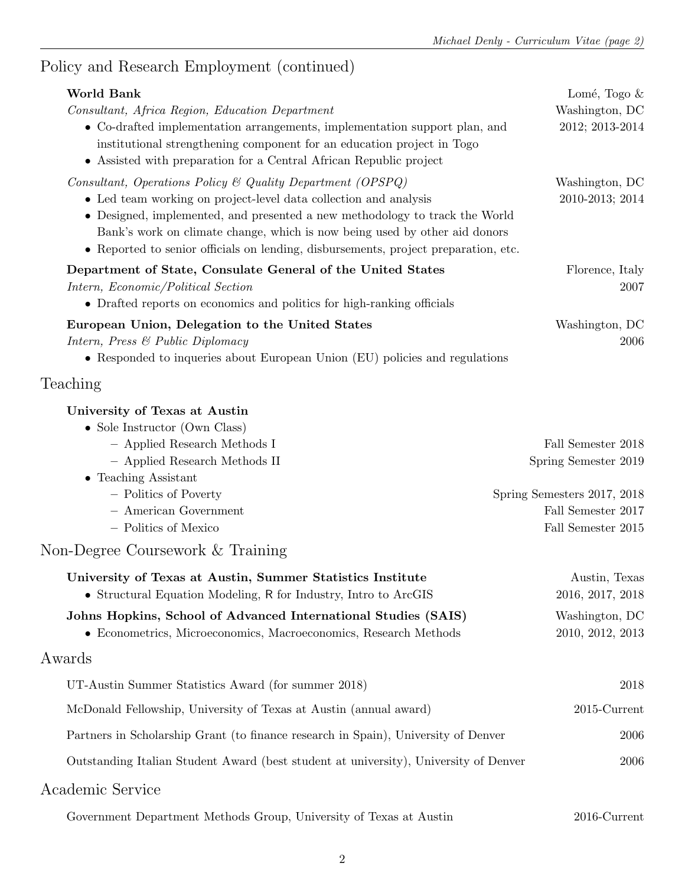## Policy and Research Employment (continued)

| World Bank<br>Consultant, Africa Region, Education Department                                                                                                                                                                                                                                                                                                                      | Lomé, Togo $\&$<br>Washington, DC                                       |
|------------------------------------------------------------------------------------------------------------------------------------------------------------------------------------------------------------------------------------------------------------------------------------------------------------------------------------------------------------------------------------|-------------------------------------------------------------------------|
| • Co-drafted implementation arrangements, implementation support plan, and<br>institutional strengthening component for an education project in Togo<br>• Assisted with preparation for a Central African Republic project                                                                                                                                                         | 2012; 2013-2014                                                         |
| Consultant, Operations Policy & Quality Department (OPSPQ)<br>• Led team working on project-level data collection and analysis<br>• Designed, implemented, and presented a new methodology to track the World<br>Bank's work on climate change, which is now being used by other aid donors<br>• Reported to senior officials on lending, disbursements, project preparation, etc. | Washington, DC<br>2010-2013; 2014                                       |
| Department of State, Consulate General of the United States<br>Intern, Economic/Political Section<br>• Drafted reports on economics and politics for high-ranking officials                                                                                                                                                                                                        | Florence, Italy<br>2007                                                 |
| European Union, Delegation to the United States<br>Intern, Press & Public Diplomacy<br>• Responded to inqueries about European Union (EU) policies and regulations                                                                                                                                                                                                                 | Washington, DC<br>2006                                                  |
| Teaching                                                                                                                                                                                                                                                                                                                                                                           |                                                                         |
| University of Texas at Austin<br>• Sole Instructor (Own Class)                                                                                                                                                                                                                                                                                                                     |                                                                         |
| - Applied Research Methods I<br>- Applied Research Methods II<br>$\bullet$ Teaching Assistant                                                                                                                                                                                                                                                                                      | Fall Semester 2018<br>Spring Semester 2019                              |
| - Politics of Poverty<br>- American Government<br>- Politics of Mexico                                                                                                                                                                                                                                                                                                             | Spring Semesters 2017, 2018<br>Fall Semester 2017<br>Fall Semester 2015 |
| Non-Degree Coursework & Training                                                                                                                                                                                                                                                                                                                                                   |                                                                         |
| University of Texas at Austin, Summer Statistics Institute<br>• Structural Equation Modeling, R for Industry, Intro to ArcGIS                                                                                                                                                                                                                                                      | Austin, Texas<br>2016, 2017, 2018                                       |
| Johns Hopkins, School of Advanced International Studies (SAIS)<br>• Econometrics, Microeconomics, Macroeconomics, Research Methods                                                                                                                                                                                                                                                 | Washington, DC<br>2010, 2012, 2013                                      |
| Awards                                                                                                                                                                                                                                                                                                                                                                             |                                                                         |
| UT-Austin Summer Statistics Award (for summer 2018)                                                                                                                                                                                                                                                                                                                                | 2018                                                                    |
| McDonald Fellowship, University of Texas at Austin (annual award)                                                                                                                                                                                                                                                                                                                  | $2015$ -Current                                                         |
| Partners in Scholarship Grant (to finance research in Spain), University of Denver                                                                                                                                                                                                                                                                                                 |                                                                         |
| Outstanding Italian Student Award (best student at university), University of Denver                                                                                                                                                                                                                                                                                               | 2006                                                                    |
| Academic Service                                                                                                                                                                                                                                                                                                                                                                   |                                                                         |
| Government Department Methods Group, University of Texas at Austin                                                                                                                                                                                                                                                                                                                 | 2016-Current                                                            |